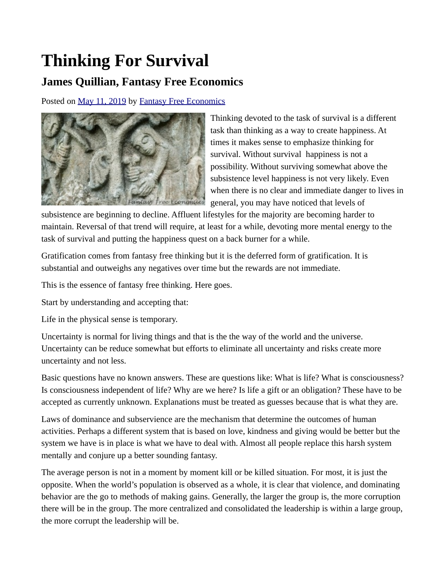## **Thinking For Survival**

## **James Quillian, Fantasy Free Economics**

Posted on [May 11, 2019](http://quillian.net/blog/?p=6328) by [Fantasy Free Economics](http://quillian.net/blog/author/james-quillian/)



Thinking devoted to the task of survival is a different task than thinking as a way to create happiness. At times it makes sense to emphasize thinking for survival. Without survival happiness is not a possibility. Without surviving somewhat above the subsistence level happiness is not very likely. Even when there is no clear and immediate danger to lives in general, you may have noticed that levels of

subsistence are beginning to decline. Affluent lifestyles for the majority are becoming harder to maintain. Reversal of that trend will require, at least for a while, devoting more mental energy to the task of survival and putting the happiness quest on a back burner for a while.

Gratification comes from fantasy free thinking but it is the deferred form of gratification. It is substantial and outweighs any negatives over time but the rewards are not immediate.

This is the essence of fantasy free thinking. Here goes.

Start by understanding and accepting that:

Life in the physical sense is temporary.

Uncertainty is normal for living things and that is the the way of the world and the universe. Uncertainty can be reduce somewhat but efforts to eliminate all uncertainty and risks create more uncertainty and not less.

Basic questions have no known answers. These are questions like: What is life? What is consciousness? Is consciousness independent of life? Why are we here? Is life a gift or an obligation? These have to be accepted as currently unknown. Explanations must be treated as guesses because that is what they are.

Laws of dominance and subservience are the mechanism that determine the outcomes of human activities. Perhaps a different system that is based on love, kindness and giving would be better but the system we have is in place is what we have to deal with. Almost all people replace this harsh system mentally and conjure up a better sounding fantasy.

The average person is not in a moment by moment kill or be killed situation. For most, it is just the opposite. When the world's population is observed as a whole, it is clear that violence, and dominating behavior are the go to methods of making gains. Generally, the larger the group is, the more corruption there will be in the group. The more centralized and consolidated the leadership is within a large group, the more corrupt the leadership will be.